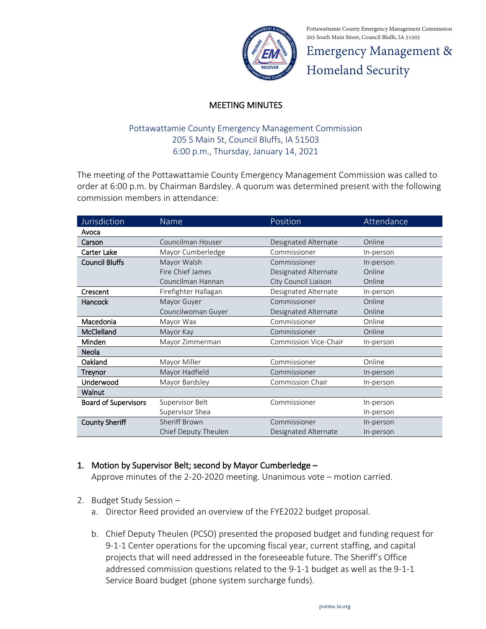

Pottawattamie County Emergency Management Commission 205 South Main Street, Council Bluffs, IA 51503

Emergency Management & Homeland Security

## MEETING MINUTES

## Pottawattamie County Emergency Management Commission 205 S Main St, Council Bluffs, IA 51503 6:00 p.m., Thursday, January 14, 2021

The meeting of the Pottawattamie County Emergency Management Commission was called to order at 6:00 p.m. by Chairman Bardsley. A quorum was determined present with the following commission members in attendance:

| Jurisdiction                | Name                 | Position                | Attendance |
|-----------------------------|----------------------|-------------------------|------------|
| Avoca                       |                      |                         |            |
| Carson                      | Councilman Houser    | Designated Alternate    | Online     |
| Carter Lake                 | Mayor Cumberledge    | Commissioner            | In-person  |
| <b>Council Bluffs</b>       | Mayor Walsh          | Commissioner            | In-person  |
|                             | Fire Chief James     | Designated Alternate    | Online     |
|                             | Councilman Hannan    | City Council Liaison    | Online     |
| Crescent                    | Firefighter Hallagan | Designated Alternate    | In-person  |
| Hancock                     | Mayor Guyer          | Commissioner            | Online     |
|                             | Councilwoman Guyer   | Designated Alternate    | Online     |
| Macedonia                   | Mayor Wax            | Commissioner            | Online     |
| McClelland                  | Mayor Kay            | Commissioner            | Online     |
| Minden                      | Mayor Zimmerman      | Commission Vice-Chair   | In-person  |
| Neola                       |                      |                         |            |
| Oakland                     | Mayor Miller         | Commissioner            | Online     |
| <b>Treynor</b>              | Mayor Hadfield       | Commissioner            | In-person  |
| Underwood                   | Mayor Bardsley       | <b>Commission Chair</b> | In-person  |
| Walnut                      |                      |                         |            |
| <b>Board of Supervisors</b> | Supervisor Belt      | Commissioner            | In-person  |
|                             | Supervisor Shea      |                         | In-person  |
| <b>County Sheriff</b>       | <b>Sheriff Brown</b> | Commissioner            | In-person  |
|                             | Chief Deputy Theulen | Designated Alternate    | In-person  |

## 1. Motion by Supervisor Belt; second by Mayor Cumberledge –

Approve minutes of the 2-20-2020 meeting. Unanimous vote – motion carried.

- 2. Budget Study Session
	- a. Director Reed provided an overview of the FYE2022 budget proposal.
	- b. Chief Deputy Theulen (PCSO) presented the proposed budget and funding request for 9-1-1 Center operations for the upcoming fiscal year, current staffing, and capital projects that will need addressed in the foreseeable future. The Sheriff's Office addressed commission questions related to the 9-1-1 budget as well as the 9-1-1 Service Board budget (phone system surcharge funds).